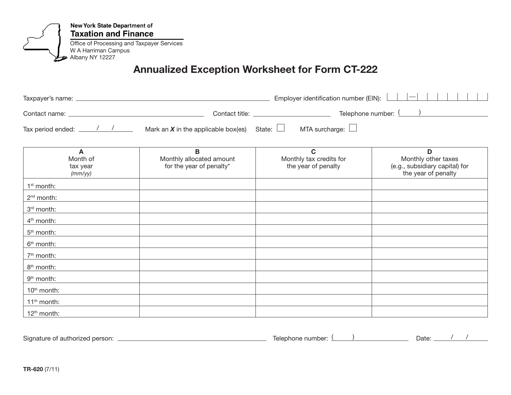

# Annualized Exception Worksheet for Form CT-222

| Taxpayer's name: $\overline{\phantom{a}}$ | $\frac{1}{2}$<br>Employer identification number (EIN):                                                                                                                                                                                                             |                                           |                                                                                |  |
|-------------------------------------------|--------------------------------------------------------------------------------------------------------------------------------------------------------------------------------------------------------------------------------------------------------------------|-------------------------------------------|--------------------------------------------------------------------------------|--|
|                                           |                                                                                                                                                                                                                                                                    | Contact title: _________________          | Telephone number: $\frac{(-1)^n}{n!}$                                          |  |
| Tax period ended:                         | Mark an $X$ in the applicable box(es)                                                                                                                                                                                                                              | MTA surcharge: $\Box$<br>State: $\Box$    |                                                                                |  |
| Month of                                  | Monthly allocated amount<br>$\mathcal{L}$ and $\mathcal{L}$ are the set of the set of the set of the set of the set of the set of the set of the set of the set of the set of the set of the set of the set of the set of the set of the set of the set of the set | Monthly tax credits for<br>$\blacksquare$ | Monthly other taxes<br><b><i>Communication</i> Communication Communication</b> |  |

| IVIONTA OT<br>tax year<br>(mm/yy) | Monthly allocated amount<br>for the year of penalty* | Monthly tax credits for<br>the year of penalty | Monthly other taxes<br>(e.g., subsidiary capital) for<br>the year of penalty |
|-----------------------------------|------------------------------------------------------|------------------------------------------------|------------------------------------------------------------------------------|
| $1st$ month:                      |                                                      |                                                |                                                                              |
| 2 <sup>nd</sup> month:            |                                                      |                                                |                                                                              |
| 3rd month:                        |                                                      |                                                |                                                                              |
| 4 <sup>th</sup> month:            |                                                      |                                                |                                                                              |
| 5 <sup>th</sup> month:            |                                                      |                                                |                                                                              |
| 6 <sup>th</sup> month:            |                                                      |                                                |                                                                              |
| 7 <sup>th</sup> month:            |                                                      |                                                |                                                                              |
| 8 <sup>th</sup> month:            |                                                      |                                                |                                                                              |
| 9 <sup>th</sup> month:            |                                                      |                                                |                                                                              |
| 10 <sup>th</sup> month:           |                                                      |                                                |                                                                              |
| 11 <sup>th</sup> month:           |                                                      |                                                |                                                                              |
| 12 <sup>th</sup> month:           |                                                      |                                                |                                                                              |

Signature of authorized person:  $\sqrt{2}$  Signature of authorized person:  $\sqrt{2}$ 

/ /